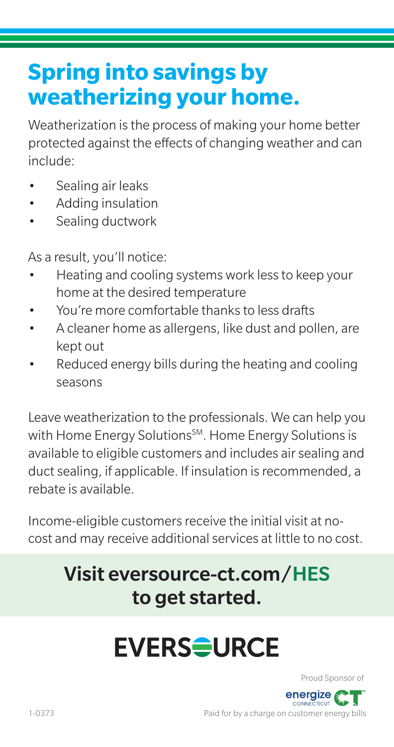#### **Spring into savings by weatherizing your home.**

Weatherization is the process of making your home better protected against the effects of changing weather and can include:

- Sealing air leaks
- Adding insulation
- Sealing ductwork

As a result, you'll notice:

- Heating and cooling systems work less to keep your home at the desired temperature
- You're more comfortable thanks to less drafts
- A cleaner home as allergens, like dust and pollen, are kept out
- Reduced energy bills during the heating and cooling seasons

Leave weatherization to the professionals. We can help you with Home Energy Solutions<sup>SM</sup>. Home Energy Solutions is available to eligible customers and includes air sealing and duct sealing, if applicable. If insulation is recommended, a rebate is available.

Income-eligible customers receive the initial visit at nocost and may receive additional services at little to no cost.

#### Visit eversource-ct.com/HES to get started.

## **EVERS<del>S</del>URCE**

Proud Sponsor of

energize .<br>ПСШ

Paid for by a charge on customer energy bills